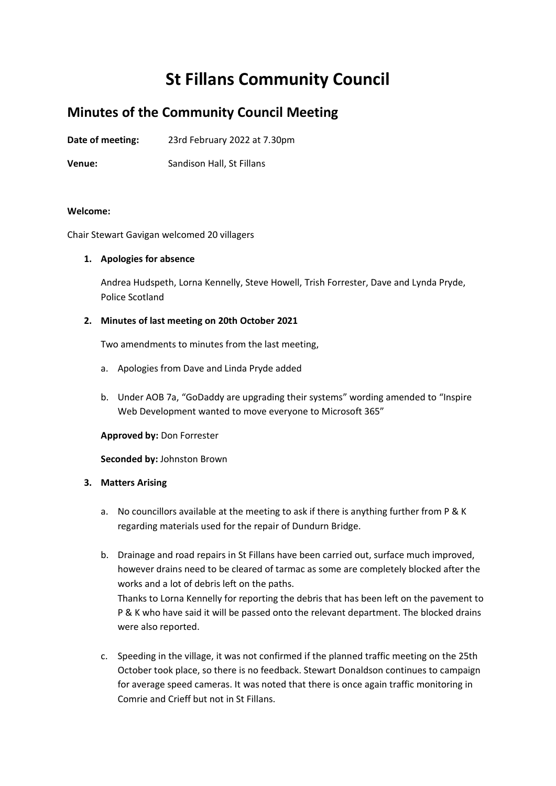# **St Fillans Community Council**

# **Minutes of the Community Council Meeting**

**Date of meeting:** 23rd February 2022 at 7.30pm

**Venue:** Sandison Hall, St Fillans

# **Welcome:**

Chair Stewart Gavigan welcomed 20 villagers

# **1. Apologies for absence**

Andrea Hudspeth, Lorna Kennelly, Steve Howell, Trish Forrester, Dave and Lynda Pryde, Police Scotland

# **2. Minutes of last meeting on 20th October 2021**

Two amendments to minutes from the last meeting,

- a. Apologies from Dave and Linda Pryde added
- b. Under AOB 7a, "GoDaddy are upgrading their systems" wording amended to "Inspire Web Development wanted to move everyone to Microsoft 365"

#### **Approved by:** Don Forrester

#### **Seconded by:** Johnston Brown

# **3. Matters Arising**

- a. No councillors available at the meeting to ask if there is anything further from P & K regarding materials used for the repair of Dundurn Bridge.
- b. Drainage and road repairs in St Fillans have been carried out, surface much improved, however drains need to be cleared of tarmac as some are completely blocked after the works and a lot of debris left on the paths. Thanks to Lorna Kennelly for reporting the debris that has been left on the pavement to P & K who have said it will be passed onto the relevant department. The blocked drains were also reported.
- c. Speeding in the village, it was not confirmed if the planned traffic meeting on the 25th October took place, so there is no feedback. Stewart Donaldson continues to campaign for average speed cameras. It was noted that there is once again traffic monitoring in Comrie and Crieff but not in St Fillans.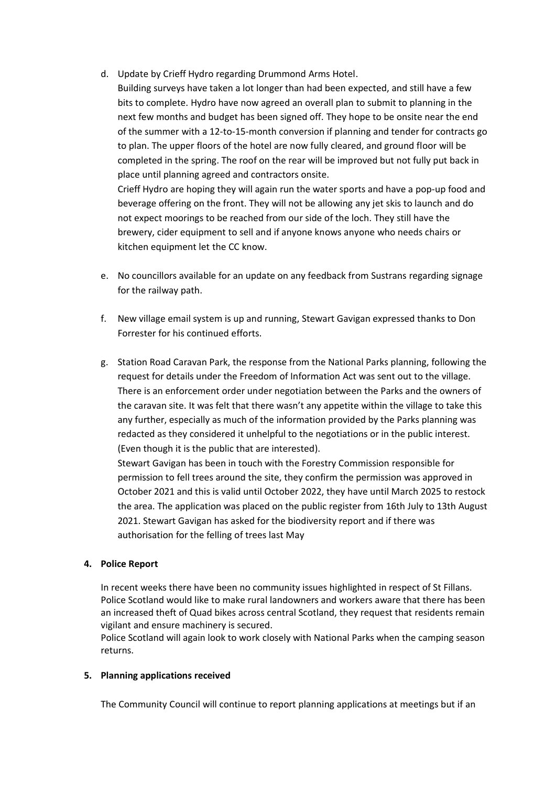- d. Update by Crieff Hydro regarding Drummond Arms Hotel.
	- Building surveys have taken a lot longer than had been expected, and still have a few bits to complete. Hydro have now agreed an overall plan to submit to planning in the next few months and budget has been signed off. They hope to be onsite near the end of the summer with a 12-to-15-month conversion if planning and tender for contracts go to plan. The upper floors of the hotel are now fully cleared, and ground floor will be completed in the spring. The roof on the rear will be improved but not fully put back in place until planning agreed and contractors onsite. Crieff Hydro are hoping they will again run the water sports and have a pop-up food and

beverage offering on the front. They will not be allowing any jet skis to launch and do not expect moorings to be reached from our side of the loch. They still have the brewery, cider equipment to sell and if anyone knows anyone who needs chairs or kitchen equipment let the CC know.

- e. No councillors available for an update on any feedback from Sustrans regarding signage for the railway path.
- f. New village email system is up and running, Stewart Gavigan expressed thanks to Don Forrester for his continued efforts.
- g. Station Road Caravan Park, the response from the National Parks planning, following the request for details under the Freedom of Information Act was sent out to the village. There is an enforcement order under negotiation between the Parks and the owners of the caravan site. It was felt that there wasn't any appetite within the village to take this any further, especially as much of the information provided by the Parks planning was redacted as they considered it unhelpful to the negotiations or in the public interest. (Even though it is the public that are interested).

Stewart Gavigan has been in touch with the Forestry Commission responsible for permission to fell trees around the site, they confirm the permission was approved in October 2021 and this is valid until October 2022, they have until March 2025 to restock the area. The application was placed on the public register from 16th July to 13th August 2021. Stewart Gavigan has asked for the biodiversity report and if there was authorisation for the felling of trees last May

# **4. Police Report**

In recent weeks there have been no community issues highlighted in respect of St Fillans. Police Scotland would like to make rural landowners and workers aware that there has been an increased theft of Quad bikes across central Scotland, they request that residents remain vigilant and ensure machinery is secured.

Police Scotland will again look to work closely with National Parks when the camping season returns.

#### **5. Planning applications received**

The Community Council will continue to report planning applications at meetings but if an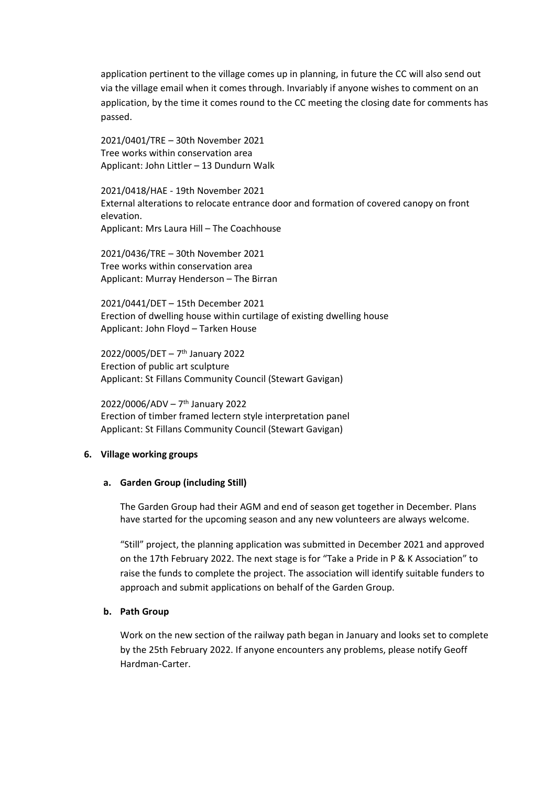application pertinent to the village comes up in planning, in future the CC will also send out via the village email when it comes through. Invariably if anyone wishes to comment on an application, by the time it comes round to the CC meeting the closing date for comments has passed.

2021/0401/TRE – 30th November 2021 Tree works within conservation area Applicant: John Littler – 13 Dundurn Walk

2021/0418/HAE - 19th November 2021 External alterations to relocate entrance door and formation of covered canopy on front elevation. Applicant: Mrs Laura Hill – The Coachhouse

2021/0436/TRE – 30th November 2021 Tree works within conservation area Applicant: Murray Henderson – The Birran

2021/0441/DET – 15th December 2021 Erection of dwelling house within curtilage of existing dwelling house Applicant: John Floyd – Tarken House

2022/0005/DET – 7 th January 2022 Erection of public art sculpture Applicant: St Fillans Community Council (Stewart Gavigan)

2022/0006/ADV – 7 th January 2022 Erection of timber framed lectern style interpretation panel Applicant: St Fillans Community Council (Stewart Gavigan)

#### **6. Village working groups**

#### **a. Garden Group (including Still)**

The Garden Group had their AGM and end of season get together in December. Plans have started for the upcoming season and any new volunteers are always welcome.

"Still" project, the planning application was submitted in December 2021 and approved on the 17th February 2022. The next stage is for "Take a Pride in P & K Association" to raise the funds to complete the project. The association will identify suitable funders to approach and submit applications on behalf of the Garden Group.

#### **b. Path Group**

Work on the new section of the railway path began in January and looks set to complete by the 25th February 2022. If anyone encounters any problems, please notify Geoff Hardman-Carter.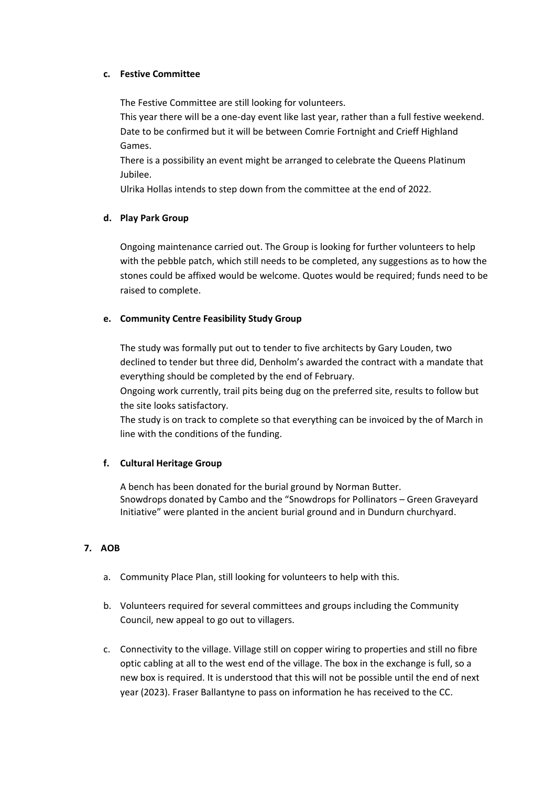# **c. Festive Committee**

The Festive Committee are still looking for volunteers.

This year there will be a one-day event like last year, rather than a full festive weekend. Date to be confirmed but it will be between Comrie Fortnight and Crieff Highland Games.

There is a possibility an event might be arranged to celebrate the Queens Platinum Jubilee.

Ulrika Hollas intends to step down from the committee at the end of 2022.

# **d. Play Park Group**

Ongoing maintenance carried out. The Group is looking for further volunteers to help with the pebble patch, which still needs to be completed, any suggestions as to how the stones could be affixed would be welcome. Quotes would be required; funds need to be raised to complete.

# **e. Community Centre Feasibility Study Group**

The study was formally put out to tender to five architects by Gary Louden, two declined to tender but three did, Denholm's awarded the contract with a mandate that everything should be completed by the end of February.

Ongoing work currently, trail pits being dug on the preferred site, results to follow but the site looks satisfactory.

The study is on track to complete so that everything can be invoiced by the of March in line with the conditions of the funding.

# **f. Cultural Heritage Group**

A bench has been donated for the burial ground by Norman Butter. Snowdrops donated by Cambo and the "Snowdrops for Pollinators – Green Graveyard Initiative" were planted in the ancient burial ground and in Dundurn churchyard.

# **7. AOB**

- a. Community Place Plan, still looking for volunteers to help with this.
- b. Volunteers required for several committees and groups including the Community Council, new appeal to go out to villagers.
- c. Connectivity to the village. Village still on copper wiring to properties and still no fibre optic cabling at all to the west end of the village. The box in the exchange is full, so a new box is required. It is understood that this will not be possible until the end of next year (2023). Fraser Ballantyne to pass on information he has received to the CC.